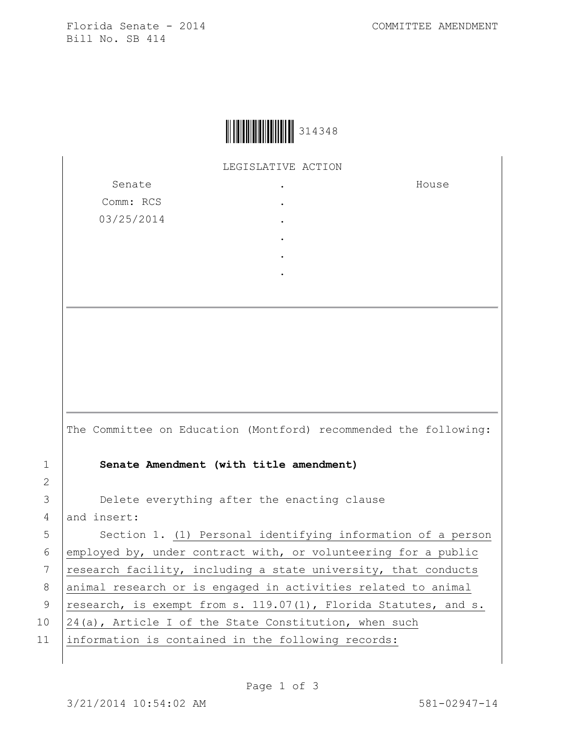Florida Senate - 2014 COMMITTEE AMENDMENT Bill No. SB 414

House



LEGISLATIVE ACTION

.

Senate Comm: RCS 03/25/2014 . . . . .

The Committee on Education (Montford) recommended the following: 1 **Senate Amendment (with title amendment)** 3 **Delete everything after the enacting clause** 4 and insert: 5 | Section 1. (1) Personal identifying information of a person 6 employed by, under contract with, or volunteering for a public 7  $research$  facility, including a state university, that conducts 8 | animal research or is engaged in activities related to animal 9  $research, is exempt from s. 119.07(1), Florida Status, and s.$ 10 | 24(a), Article I of the State Constitution, when such 11 information is contained in the following records:

2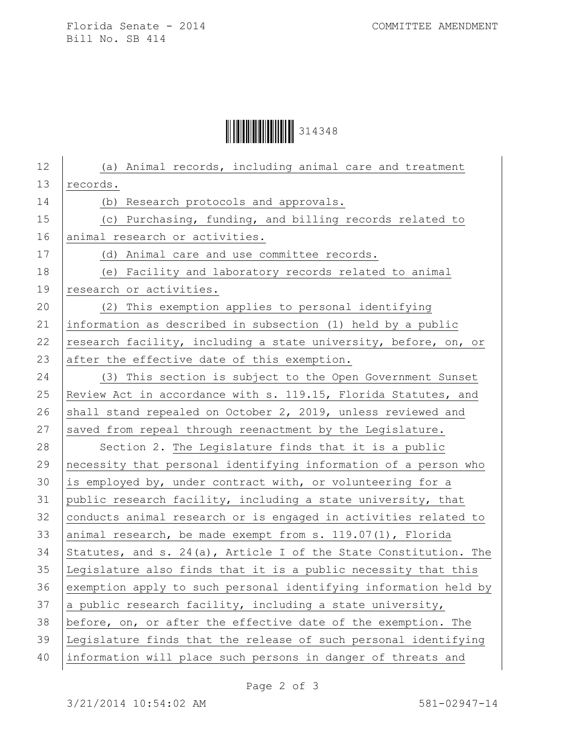## Ì3143486Î314348

| 12 | (a) Animal records, including animal care and treatment             |
|----|---------------------------------------------------------------------|
| 13 | records.                                                            |
| 14 | (b) Research protocols and approvals.                               |
| 15 | (c) Purchasing, funding, and billing records related to             |
| 16 | animal research or activities.                                      |
| 17 | (d) Animal care and use committee records.                          |
| 18 | (e) Facility and laboratory records related to animal               |
| 19 | research or activities.                                             |
| 20 | (2) This exemption applies to personal identifying                  |
| 21 | information as described in subsection (1) held by a public         |
| 22 | research facility, including a state university, before, on, or     |
| 23 | after the effective date of this exemption.                         |
| 24 | (3) This section is subject to the Open Government Sunset           |
| 25 | Review Act in accordance with s. 119.15, Florida Statutes, and      |
| 26 | shall stand repealed on October 2, 2019, unless reviewed and        |
| 27 | saved from repeal through reenactment by the Legislature.           |
| 28 | Section 2. The Legislature finds that it is a public                |
| 29 | necessity that personal identifying information of a person who     |
| 30 | is employed by, under contract with, or volunteering for a          |
| 31 | public research facility, including a state university, that        |
| 32 | conducts animal research or is engaged in activities related to     |
| 33 | animal research, be made exempt from s. 119.07(1), Florida          |
| 34 | Statutes, and s. $24(a)$ , Article I of the State Constitution. The |
| 35 | Legislature also finds that it is a public necessity that this      |
| 36 | exemption apply to such personal identifying information held by    |
| 37 | a public research facility, including a state university,           |
| 38 | before, on, or after the effective date of the exemption. The       |
| 39 | Legislature finds that the release of such personal identifying     |
| 40 | information will place such persons in danger of threats and        |